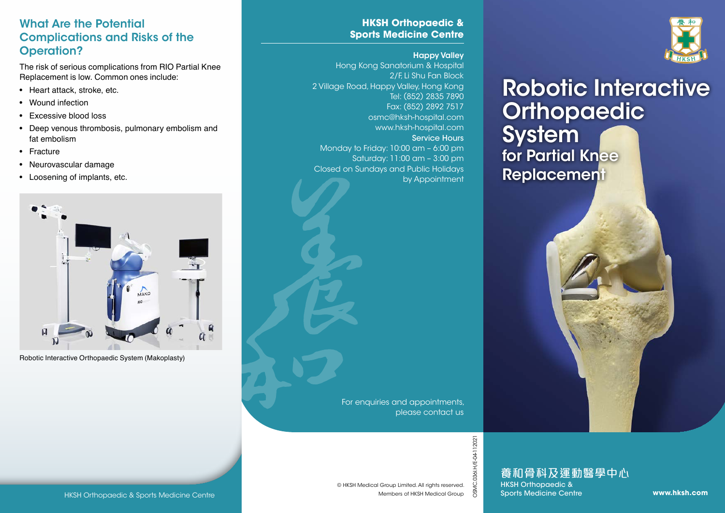### What Are the Potential Complications and Risks of the Operation?

The risk of serious complications from RIO Partial Knee Replacement is low. Common ones include:

- Heart attack, stroke, etc.
- Wound infection
- Excessive blood loss
- Deep venous thrombosis, pulmonary embolism and fat embolism
- Fracture
- Neurovascular damage
- Loosening of implants, etc.



Robotic Interactive Orthopaedic System (Makoplasty)

### **HKSH Orthopaedic & Sports Medicine Centre**

#### Happy Valley

Hong Kong Sanatorium & Hospital 2/F, Li Shu Fan Block 2 Village Road, Happy Valley, Hong Kong Tel: (852) 2835 7890 Fax: (852) 2892 7517 osmc@hksh-hospital.com www.hksh-hospital.com Service Hours Monday to Friday: 10:00 am – 6:00 pm Saturday: 11:00 am – 3:00 pm Closed on Sundays and Public Holidays by Appointment



# Robotic Interactive **Orthopaedic System** for Partial Knee **Replacement**

For enquiries and appointments, please contact us

© HKSH Medical Group Limited. All rights reserved.

Members of HKSH Medical Group

OSMC.036I.H/E-04-112021

HKSH Orthopaedic & Sports Medicine Centre<br>
MESH Medical Group Limited. All rights reserved.<br>
Members of HKSH Medical Group<br>
Members of HKSH Medical Group & Sports Medicine Centre www.**hksh.com**<br>
Members of HKSH Medical Gr 養和骨科及運動醫學中心

HKSH Orthopaedic & Sports Medicine Centre